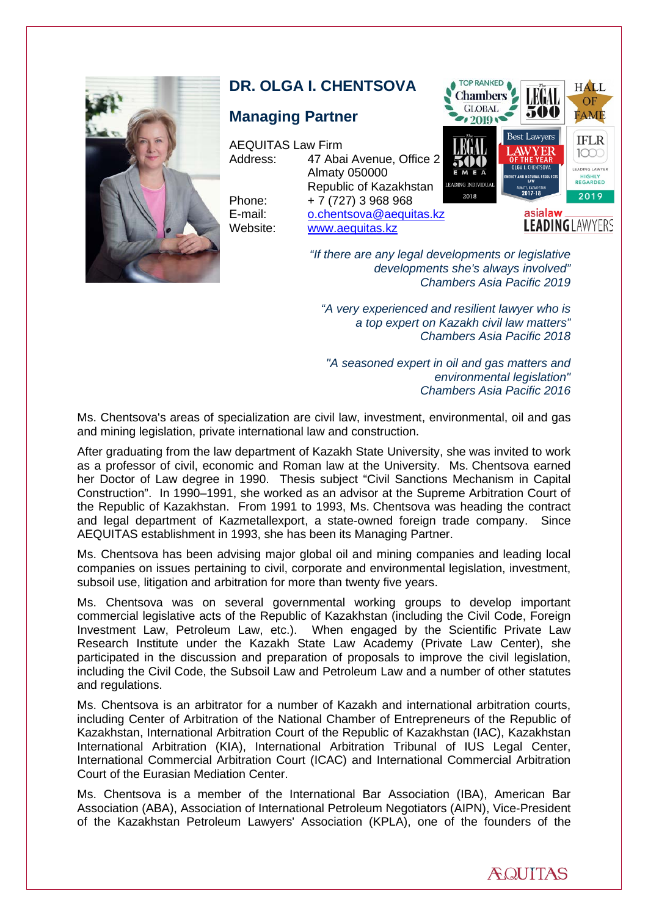

# **DR. OLGA I. CHENTSOVA**

Website: [www.aequitas.kz](http://www.aequitas.kz/)

## **Managing Partner**

AEQUITAS Law Firm

Address: 47 Abai Avenue, Office 2 Almaty 050000 Republic of Kazakhstan Phone: + 7 (727) 3 968 968 E-mail: [o.chentsova@aequitas.kz](mailto:O.Chentsova@aequitas.kz)



**LEADING** LAWYERS

*"If there are any legal developments or legislative developments she's always involved" Chambers Asia Pacific 2019*

*"A very experienced and resilient lawyer who is a top expert on Kazakh civil law matters" Chambers Asia Pacific 2018*

*"A seasoned expert in oil and gas matters and environmental legislation" Chambers Asia Pacific 2016*

Ms. Chentsova's areas of specialization are civil law, investment, environmental, oil and gas and mining legislation, private international law and construction.

After graduating from the law department of Kazakh State University, she was invited to work as a professor of civil, economic and Roman law at the University. Ms. Chentsova earned her Doctor of Law degree in 1990. Thesis subject "Civil Sanctions Mechanism in Capital Construction". In 1990–1991, she worked as an advisor at the Supreme Arbitration Court of the Republic of Kazakhstan. From 1991 to 1993, Ms. Chentsova was heading the contract and legal department of Kazmetallexport, a state-owned foreign trade company. Since AEQUITAS establishment in 1993, she has been its Managing Partner.

Ms. Chentsova has been advising major global oil and mining companies and leading local companies on issues pertaining to civil, corporate and environmental legislation, investment, subsoil use, litigation and arbitration for more than twenty five years.

Ms. Chentsova was on several governmental working groups to develop important commercial legislative acts of the Republic of Kazakhstan (including the Civil Code, Foreign Investment Law, Petroleum Law, etc.). When engaged by the Scientific Private Law Research Institute under the Kazakh State Law Academy (Private Law Center), she participated in the discussion and preparation of proposals to improve the civil legislation, including the Civil Code, the Subsoil Law and Petroleum Law and a number of other statutes and regulations.

Ms. Chentsova is an arbitrator for a number of Kazakh and international arbitration courts, including Center of Arbitration of the National Chamber of Entrepreneurs of the Republic of Kazakhstan, International Arbitration Court of the Republic of Kazakhstan (IAC), Kazakhstan International Arbitration (KIA), International Arbitration Tribunal of IUS Legal Center, International Commercial Arbitration Court (ICAC) and International Commercial Arbitration Court of the Eurasian Mediation Center.

Ms. Chentsova is a member of the International Bar Association (IBA), American Bar Association (ABA), Association of International Petroleum Negotiators (AIPN), Vice-President of the Kazakhstan Petroleum Lawyers' Association (KPLA), one of the founders of the

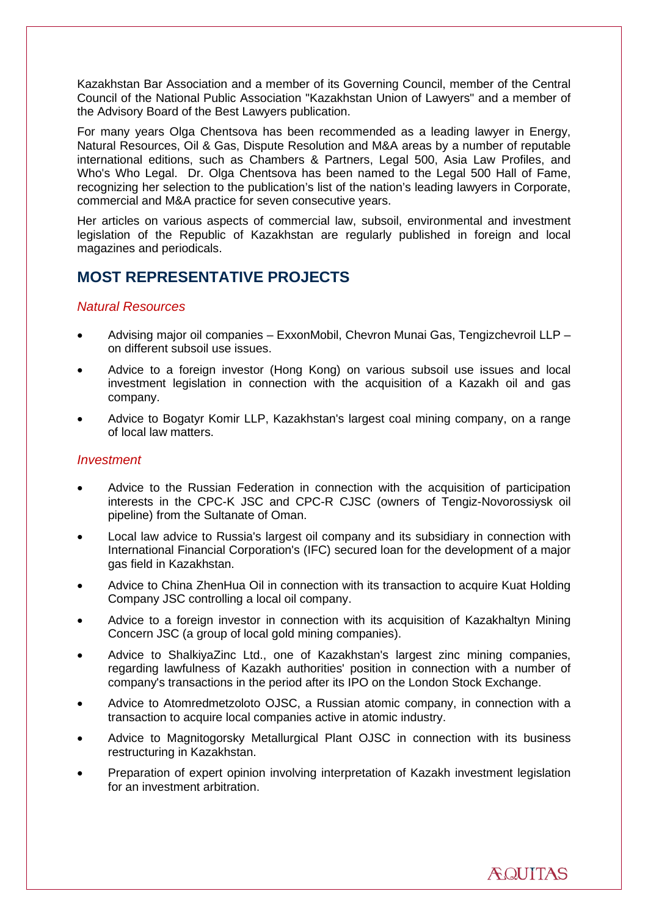Kazakhstan Bar Association and a member of its Governing Council, member of the Central Council of the National Public Association "Kazakhstan Union of Lawyers" and a member of the Advisory Board of the Best Lawyers publication.

For many years Olga Chentsova has been recommended as a leading lawyer in Energy, Natural Resources, Oil & Gas, Dispute Resolution and M&A areas by a number of reputable international editions, such as Chambers & Partners, Legal 500, Asia Law Profiles, and Who's Who Legal. Dr. Olga Chentsova has been named to the Legal 500 Hall of Fame, recognizing her selection to the publication's list of the nation's leading lawyers in Corporate, commercial and M&A practice for seven consecutive years.

Her articles on various aspects of commercial law, subsoil, environmental and investment legislation of the Republic of Kazakhstan are regularly published in foreign and local magazines and periodicals.

# **MOST REPRESENTATIVE PROJECTS**

### *Natural Resources*

- Advising major oil companies ExxonMobil, Chevron Munai Gas, Tengizchevroil LLP on different subsoil use issues.
- Advice to a foreign investor (Hong Kong) on various subsoil use issues and local investment legislation in connection with the acquisition of a Kazakh oil and gas company.
- Advice to Bogatyr Komir LLP, Kazakhstan's largest coal mining company, on a range of local law matters.

#### *Investment*

- Advice to the Russian Federation in connection with the acquisition of participation interests in the CPC-K JSC and CPC-R CJSC (owners of Tengiz-Novorossiysk oil pipeline) from the Sultanate of Oman.
- Local law advice to Russia's largest oil company and its subsidiary in connection with International Financial Corporation's (IFC) secured loan for the development of a major gas field in Kazakhstan.
- Advice to China ZhenHua Oil in connection with its transaction to acquire Kuat Holding Company JSC controlling a local oil company.
- Advice to a foreign investor in connection with its acquisition of Kazakhaltyn Mining Concern JSC (a group of local gold mining companies).
- Advice to ShalkiyaZinc Ltd., one of Kazakhstan's largest zinc mining companies, regarding lawfulness of Kazakh authorities' position in connection with a number of company's transactions in the period after its IPO on the London Stock Exchange.
- Advice to Atomredmetzoloto OJSC, a Russian atomic company, in connection with a transaction to acquire local companies active in atomic industry.
- Advice to Magnitogorsky Metallurgical Plant OJSC in connection with its business restructuring in Kazakhstan.
- Preparation of expert opinion involving interpretation of Kazakh investment legislation for an investment arbitration.